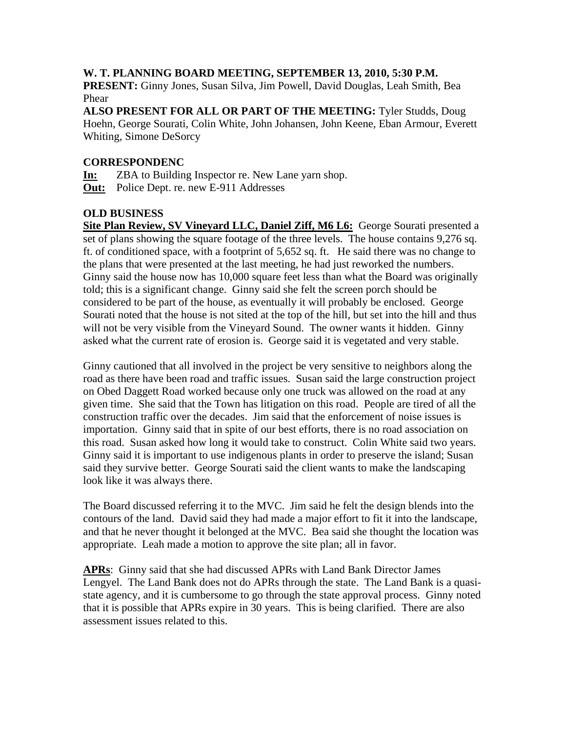## **W. T. PLANNING BOARD MEETING, SEPTEMBER 13, 2010, 5:30 P.M.**

**PRESENT:** Ginny Jones, Susan Silva, Jim Powell, David Douglas, Leah Smith, Bea Phear

**ALSO PRESENT FOR ALL OR PART OF THE MEETING:** Tyler Studds, Doug Hoehn, George Sourati, Colin White, John Johansen, John Keene, Eban Armour, Everett Whiting, Simone DeSorcy

## **CORRESPONDENC**

**In:** ZBA to Building Inspector re. New Lane yarn shop. **Out:** Police Dept. re. new E-911 Addresses

# **OLD BUSINESS**

**Site Plan Review, SV Vineyard LLC, Daniel Ziff, M6 L6:** George Sourati presented a set of plans showing the square footage of the three levels. The house contains 9,276 sq. ft. of conditioned space, with a footprint of 5,652 sq. ft. He said there was no change to the plans that were presented at the last meeting, he had just reworked the numbers. Ginny said the house now has 10,000 square feet less than what the Board was originally told; this is a significant change. Ginny said she felt the screen porch should be considered to be part of the house, as eventually it will probably be enclosed. George Sourati noted that the house is not sited at the top of the hill, but set into the hill and thus will not be very visible from the Vineyard Sound. The owner wants it hidden. Ginny asked what the current rate of erosion is. George said it is vegetated and very stable.

Ginny cautioned that all involved in the project be very sensitive to neighbors along the road as there have been road and traffic issues. Susan said the large construction project on Obed Daggett Road worked because only one truck was allowed on the road at any given time. She said that the Town has litigation on this road. People are tired of all the construction traffic over the decades. Jim said that the enforcement of noise issues is importation. Ginny said that in spite of our best efforts, there is no road association on this road. Susan asked how long it would take to construct. Colin White said two years. Ginny said it is important to use indigenous plants in order to preserve the island; Susan said they survive better. George Sourati said the client wants to make the landscaping look like it was always there.

The Board discussed referring it to the MVC. Jim said he felt the design blends into the contours of the land. David said they had made a major effort to fit it into the landscape, and that he never thought it belonged at the MVC. Bea said she thought the location was appropriate. Leah made a motion to approve the site plan; all in favor.

**APRs**: Ginny said that she had discussed APRs with Land Bank Director James Lengyel. The Land Bank does not do APRs through the state. The Land Bank is a quasistate agency, and it is cumbersome to go through the state approval process. Ginny noted that it is possible that APRs expire in 30 years. This is being clarified. There are also assessment issues related to this.